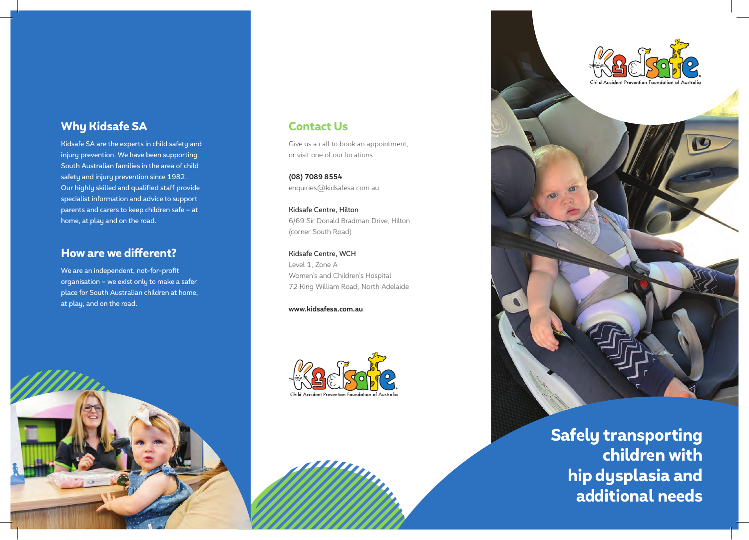## Why Kidsafe SA

Kidsafe SA are the experts in child safety and injury prevention. We have been supporting South Australian families in the area of child safety and injury prevention since 1982. Our highly skilled and qualified staff provide specialist information and advice to support parents and carers to keep children safe – at home, at play and on the road.

## How are we different?

We are an independent, not-for-profit organisation – we exist only to make a safer place for South Australian children at home, at play, and on the road.



# Contact Us

Give us a call to book an appointment, or visit one of our locations:

**(08) 7089 8554** enquiries@kidsafesa.com.au

Kidsafe Centre, Hilton 6/69 Sir Donald Bradman Drive, Hilton (corner South Road)

Kidsafe Centre, WCH Level 1, Zone A Women's and Children's Hospital 72 King William Road, North Adelaide

**www.kidsafesa.com.au**





Safely transporting children with hip dysplasia and additional needs